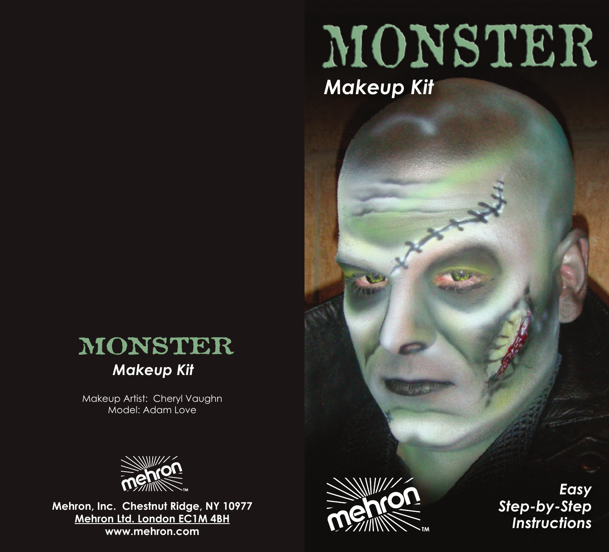## MONSTER *Makeup Kit*



Makeup Artist: Cheryl Vaughn Model: Adam Love



**Mehron, Inc. Chestnut Ridge, NY 10977 Mehron Ltd. London EC1M 4BH www.mehron.com**



*Easy Step-by-Step Instructions*